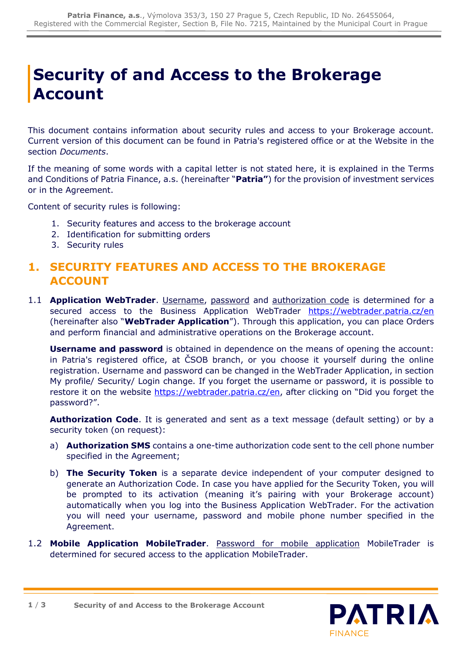# **Security of and Access to the Brokerage Account**

This document contains information about security rules and access to your Brokerage account. Current version of this document can be found in Patria's registered office or at the Website in the section *Documents*.

If the meaning of some words with a capital letter is not stated here, it is explained in the Terms and Conditions of Patria Finance, a.s. (hereinafter "**Patria"**) for the provision of investment services or in the Agreement.

Content of security rules is following:

- 1. [Security features and access to the brokerage account](#page-0-0)
- 2. [Identification for submitting orders](#page-1-0)
- 3. [Security rules](#page-2-0)

#### <span id="page-0-0"></span>**1. SECURITY FEATURES AND ACCESS TO THE BROKERAGE ACCOUNT**

1.1 **Application WebTrader**. Username, password and authorization code is determined for a secured access to the Business Application WebTrader <https://webtrader.patria.cz/en> (hereinafter also "**WebTrader Application**"). Through this application, you can place Orders and perform financial and administrative operations on the Brokerage account.

**Username and password** is obtained in dependence on the means of opening the account: in Patria's registered office, at ČSOB branch, or you choose it yourself during the online registration. Username and password can be changed in the WebTrader Application, in section My profile/ Security/ Login change. If you forget the username or password, it is possible to restore it on the website<https://webtrader.patria.cz/en>, after clicking on "Did you forget the password?".

**Authorization Code**. It is generated and sent as a text message (default setting) or by a security token (on request):

- a) **Authorization SMS** contains a one-time authorization code sent to the cell phone number specified in the Agreement;
- b) **The Security Token** is a separate device independent of your computer designed to generate an Authorization Code. In case you have applied for the Security Token, you will be prompted to its activation (meaning it's pairing with your Brokerage account) automatically when you log into the Business Application WebTrader. For the activation you will need your username, password and mobile phone number specified in the Agreement.

**PATRIA** 

**FINANCE** 

1.2 **Mobile Application MobileTrader**. Password for mobile application MobileTrader is determined for secured access to the application MobileTrader.

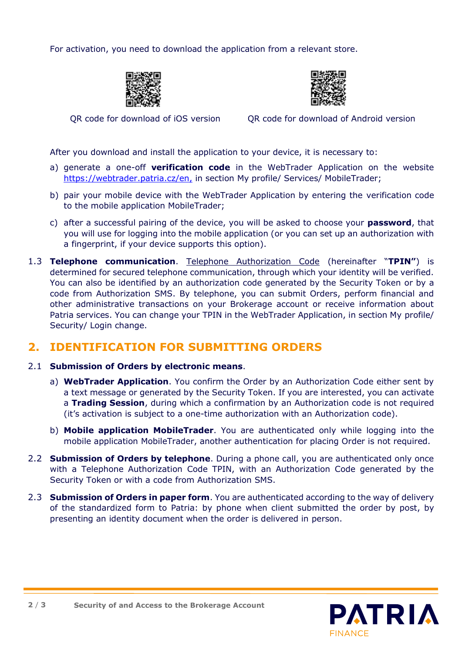For activation, you need to download the application from a relevant store.





QR code for download of iOS version QR code for download of Android version

After you download and install the application to your device, it is necessary to:

- a) generate a one-off **verification code** in the WebTrader Application on the website [https://webtrader.patria.cz/en,](https://webtrader.patria.cz/en) in section My profile/ Services/ MobileTrader;
- b) pair your mobile device with the WebTrader Application by entering the verification code to the mobile application MobileTrader;
- c) after a successful pairing of the device, you will be asked to choose your **password**, that you will use for logging into the mobile application (or you can set up an authorization with a fingerprint, if your device supports this option).
- 1.3 **Telephone communication**. Telephone Authorization Code (hereinafter "**TPIN"**) is determined for secured telephone communication, through which your identity will be verified. You can also be identified by an authorization code generated by the Security Token or by a code from Authorization SMS. By telephone, you can submit Orders, perform financial and other administrative transactions on your Brokerage account or receive information about Patria services. You can change your TPIN in the WebTrader Application, in section My profile/ Security/ Login change.

### <span id="page-1-0"></span>**2. IDENTIFICATION FOR SUBMITTING ORDERS**

#### 2.1 **Submission of Orders by electronic means**.

- a) **WebTrader Application**. You confirm the Order by an Authorization Code either sent by a text message or generated by the Security Token. If you are interested, you can activate a **Trading Session**, during which a confirmation by an Authorization code is not required (it's activation is subject to a one-time authorization with an Authorization code).
- b) **Mobile application MobileTrader**. You are authenticated only while logging into the mobile application MobileTrader, another authentication for placing Order is not required.
- 2.2 **Submission of Orders by telephone**. During a phone call, you are authenticated only once with a Telephone Authorization Code TPIN, with an Authorization Code generated by the Security Token or with a code from Authorization SMS.
- 2.3 **Submission of Orders in paper form**. You are authenticated according to the way of delivery of the standardized form to Patria: by phone when client submitted the order by post, by presenting an identity document when the order is delivered in person.